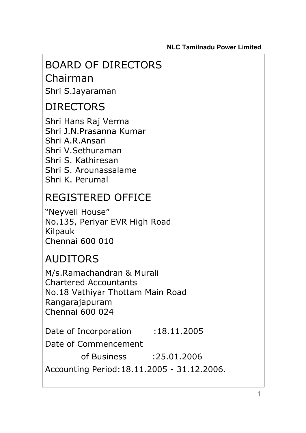# BOARD OF DIRECTORS

Chairman Shri S.Jayaraman

# DIRECTORS

Shri Hans Raj Verma Shri J.N.Prasanna Kumar Shri A.R.Ansari Shri V.Sethuraman Shri S. Kathiresan Shri S. Arounassalame Shri K. Perumal

# REGISTERED OFFICE

"Neyveli House" No.135, Periyar EVR High Road Kilpauk Chennai 600 010

# AUDITORS

M/s.Ramachandran & Murali Chartered Accountants No.18 Vathiyar Thottam Main Road Rangarajapuram Chennai 600 024

Date of Incorporation :18.11.2005

Date of Commencement

of Business :25.01.2006

Accounting Period:18.11.2005 - 31.12.2006.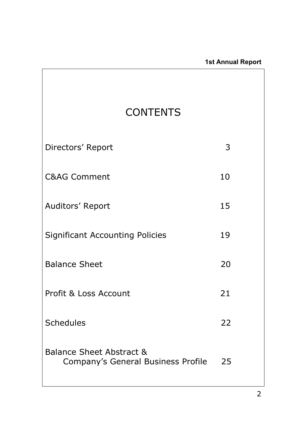| <b>CONTENTS</b>                                                           |    |  |
|---------------------------------------------------------------------------|----|--|
| Directors' Report                                                         | 3  |  |
| <b>C&amp;AG Comment</b>                                                   | 10 |  |
| Auditors' Report                                                          | 15 |  |
| <b>Significant Accounting Policies</b>                                    | 19 |  |
| <b>Balance Sheet</b>                                                      | 20 |  |
| Profit & Loss Account                                                     | 21 |  |
| <b>Schedules</b>                                                          | 22 |  |
| <b>Balance Sheet Abstract &amp;</b><br>Company's General Business Profile | 25 |  |

 $\mathbf{r}$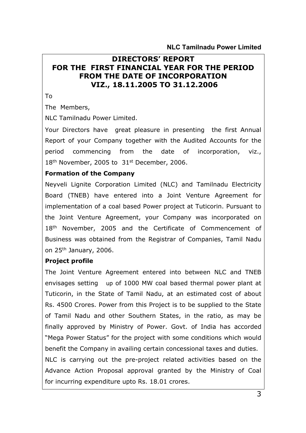# **DIRECTORS' REPORT FOR THE FIRST FINANCIAL YEAR FOR THE PERIOD FROM THE DATE OF INCORPORATION VIZ., 18.11.2005 TO 31.12.2006**

To

The Members,

NLC Tamilnadu Power Limited.

Your Directors have great pleasure in presenting the first Annual Report of your Company together with the Audited Accounts for the period commencing from the date of incorporation, viz.,  $18<sup>th</sup>$  November, 2005 to  $31<sup>st</sup>$  December, 2006.

#### **Formation of the Company**

Neyveli Lignite Corporation Limited (NLC) and Tamilnadu Electricity Board (TNEB) have entered into a Joint Venture Agreement for implementation of a coal based Power project at Tuticorin. Pursuant to the Joint Venture Agreement, your Company was incorporated on 18<sup>th</sup> November, 2005 and the Certificate of Commencement of Business was obtained from the Registrar of Companies, Tamil Nadu on 25th January, 2006.

#### **Project profile**

The Joint Venture Agreement entered into between NLC and TNEB envisages setting up of 1000 MW coal based thermal power plant at Tuticorin, in the State of Tamil Nadu, at an estimated cost of about Rs. 4500 Crores. Power from this Project is to be supplied to the State of Tamil Nadu and other Southern States, in the ratio, as may be finally approved by Ministry of Power. Govt. of India has accorded "Mega Power Status" for the project with some conditions which would benefit the Company in availing certain concessional taxes and duties. NLC is carrying out the pre-project related activities based on the Advance Action Proposal approval granted by the Ministry of Coal for incurring expenditure upto Rs. 18.01 crores.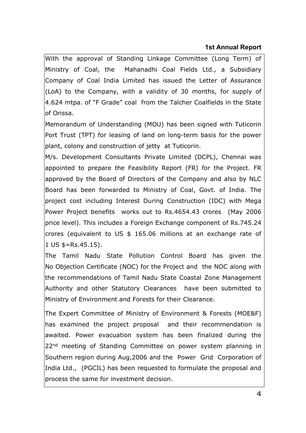### **1st Annual Report**

With the approval of Standing Linkage Committee (Long Term) of Ministry of Coal, the Mahanadhi Coal Fields Ltd., a Subsidiary Company of Coal India Limited has issued the Letter of Assurance (LoA) to the Company, with a validity of 30 months, for supply of 4.624 mtpa. of "F Grade" coal from the Talcher Coalfields in the State of Orissa.

Memorandum of Understanding (MOU) has been signed with Tuticorin Port Trust (TPT) for leasing of land on long-term basis for the power plant, colony and construction of jetty at Tuticorin.

M/s. Development Consultants Private Limited (DCPL), Chennai was appointed to prepare the Feasibility Report (FR) for the Project. FR approved by the Board of Directors of the Company and also by NLC Board has been forwarded to Ministry of Coal, Govt. of India. The project cost including Interest During Construction (IDC) with Mega Power Project benefits works out to Rs.4654.43 crores (May 2006 price level). This includes a Foreign Exchange component of Rs.745.24 crores (equivalent to US \$ 165.06 millions at an exchange rate of 1 US \$=Rs.45.15).

The Tamil Nadu State Pollution Control Board has given the No Objection Certificate (NOC) for the Project and the NOC along with the recommendations of Tamil Nadu State Coastal Zone Management Authority and other Statutory Clearances have been submitted to Ministry of Environment and Forests for their Clearance.

The Expert Committee of Ministry of Environment & Forests (MOE&F) has examined the project proposal and their recommendation is awaited. Power evacuation system has been finalized during the 22<sup>nd</sup> meeting of Standing Committee on power system planning in Southern region during Aug,2006 and the Power Grid Corporation of India Ltd., (PGCIL) has been requested to formulate the proposal and process the same for investment decision.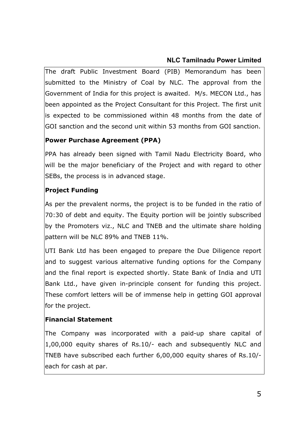The draft Public Investment Board (PIB) Memorandum has been submitted to the Ministry of Coal by NLC. The approval from the Government of India for this project is awaited. M/s. MECON Ltd., has been appointed as the Project Consultant for this Project. The first unit is expected to be commissioned within 48 months from the date of GOI sanction and the second unit within 53 months from GOI sanction.

# **Power Purchase Agreement (PPA)**

PPA has already been signed with Tamil Nadu Electricity Board, who will be the major beneficiary of the Project and with regard to other SEBs, the process is in advanced stage.

# **Project Funding**

As per the prevalent norms, the project is to be funded in the ratio of 70:30 of debt and equity. The Equity portion will be jointly subscribed by the Promoters viz., NLC and TNEB and the ultimate share holding pattern will be NLC 89% and TNEB 11%.

UTI Bank Ltd has been engaged to prepare the Due Diligence report and to suggest various alternative funding options for the Company and the final report is expected shortly. State Bank of India and UTI Bank Ltd., have given in-principle consent for funding this project. These comfort letters will be of immense help in getting GOI approval for the project.

# **Financial Statement**

The Company was incorporated with a paid-up share capital of 1,00,000 equity shares of Rs.10/- each and subsequently NLC and TNEB have subscribed each further 6,00,000 equity shares of Rs.10/ each for cash at par.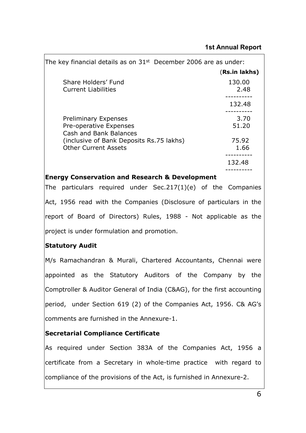| The key financial details as on $31st$ December 2006 are as under:              |                |
|---------------------------------------------------------------------------------|----------------|
|                                                                                 | (Rs.in lakhs)  |
| Share Holders' Fund<br><b>Current Liabilities</b>                               | 130.00<br>2.48 |
|                                                                                 | 132.48         |
| <b>Preliminary Expenses</b><br>Pre-operative Expenses<br>Cash and Bank Balances | 3.70<br>51.20  |
| (inclusive of Bank Deposits Rs.75 lakhs)<br><b>Other Current Assets</b>         | 75.92<br>1.66  |
|                                                                                 | 132.48         |

#### **Energy Conservation and Research & Development**

The particulars required under Sec.217(1)(e) of the Companies Act, 1956 read with the Companies (Disclosure of particulars in the report of Board of Directors) Rules, 1988 - Not applicable as the project is under formulation and promotion.

# **Statutory Audit**

M/s Ramachandran & Murali, Chartered Accountants, Chennai were appointed as the Statutory Auditors of the Company by the Comptroller & Auditor General of India (C&AG), for the first accounting period, under Section 619 (2) of the Companies Act, 1956. C& AG's comments are furnished in the Annexure-1.

# **Secretarial Compliance Certificate**

As required under Section 383A of the Companies Act, 1956 a certificate from a Secretary in whole-time practice with regard to compliance of the provisions of the Act, is furnished in Annexure-2.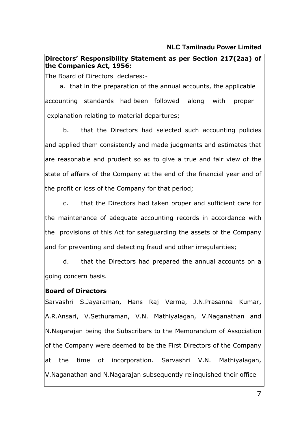### **Directors' Responsibility Statement as per Section 217(2aa) of the Companies Act, 1956:**

The Board of Directors declares:-

 a. that in the preparation of the annual accounts, the applicable accounting standards had been followed along with proper explanation relating to material departures;

b. that the Directors had selected such accounting policies and applied them consistently and made judgments and estimates that are reasonable and prudent so as to give a true and fair view of the state of affairs of the Company at the end of the financial year and of the profit or loss of the Company for that period;

c. that the Directors had taken proper and sufficient care for the maintenance of adequate accounting records in accordance with the provisions of this Act for safeguarding the assets of the Company and for preventing and detecting fraud and other irregularities;

d. that the Directors had prepared the annual accounts on a going concern basis.

# **Board of Directors**

Sarvashri S.Jayaraman, Hans Raj Verma, J.N.Prasanna Kumar, A.R.Ansari, V.Sethuraman, V.N. Mathiyalagan, V.Naganathan and N.Nagarajan being the Subscribers to the Memorandum of Association of the Company were deemed to be the First Directors of the Company at the time of incorporation. Sarvashri V.N. Mathiyalagan, V.Naganathan and N.Nagarajan subsequently relinquished their office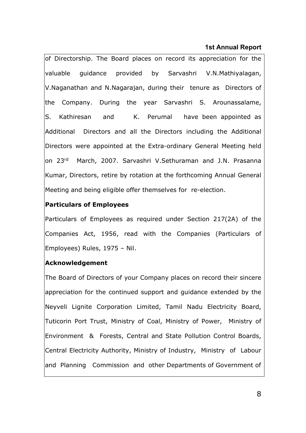#### **1st Annual Report**

of Directorship. The Board places on record its appreciation for the valuable guidance provided by Sarvashri V.N.Mathiyalagan, V.Naganathan and N.Nagarajan, during their tenure as Directors of the Company. During the year Sarvashri S. Arounassalame, S. Kathiresan and K. Perumal have been appointed as Additional Directors and all the Directors including the Additional Directors were appointed at the Extra-ordinary General Meeting held on 23rd March, 2007. Sarvashri V.Sethuraman and J.N. Prasanna Kumar, Directors, retire by rotation at the forthcoming Annual General Meeting and being eligible offer themselves for re-election.

#### **Particulars of Employees**

Particulars of Employees as required under Section 217(2A) of the Companies Act, 1956, read with the Companies (Particulars of Employees) Rules, 1975 – Nil.

#### **Acknowledgement**

The Board of Directors of your Company places on record their sincere appreciation for the continued support and guidance extended by the Neyveli Lignite Corporation Limited, Tamil Nadu Electricity Board, Tuticorin Port Trust, Ministry of Coal, Ministry of Power, Ministry of Environment & Forests, Central and State Pollution Control Boards, Central Electricity Authority, Ministry of Industry, Ministry of Labour and Planning Commission and other Departments of Government of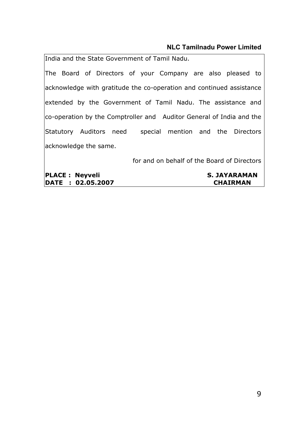India and the State Government of Tamil Nadu.

The Board of Directors of your Company are also pleased to acknowledge with gratitude the co-operation and continued assistance extended by the Government of Tamil Nadu. The assistance and co-operation by the Comptroller and Auditor General of India and the Statutory Auditors need special mention and the Directors acknowledge the same.

for and on behalf of the Board of Directors

**PLACE : Neyveli** S. JAYARAMAN **DATE : 02.05.2007 CHAIRMAN**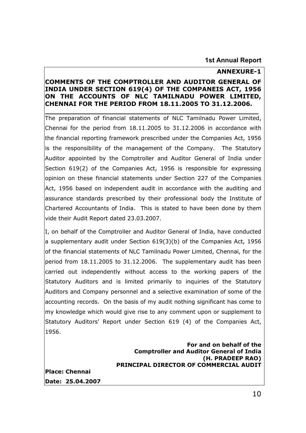#### **1st Annual Report**

#### **ANNEXURE-1**

#### **COMMENTS OF THE COMPTROLLER AND AUDITOR GENERAL OF INDIA UNDER SECTION 619(4) OF THE COMPANEIS ACT, 1956 ON THE ACCOUNTS OF NLC TAMILNADU POWER LIMITED, CHENNAI FOR THE PERIOD FROM 18.11.2005 TO 31.12.2006.**

The preparation of financial statements of NLC Tamilnadu Power Limited, Chennai for the period from 18.11.2005 to 31.12.2006 in accordance with the financial reporting framework prescribed under the Companies Act, 1956 is the responsibility of the management of the Company. The Statutory Auditor appointed by the Comptroller and Auditor General of India under Section 619(2) of the Companies Act, 1956 is responsible for expressing opinion on these financial statements under Section 227 of the Companies Act, 1956 based on independent audit in accordance with the auditing and assurance standards prescribed by their professional body the Institute of Chartered Accountants of India. This is stated to have been done by them vide their Audit Report dated 23.03.2007.

I, on behalf of the Comptroller and Auditor General of India, have conducted a supplementary audit under Section 619(3)(b) of the Companies Act, 1956 of the financial statements of NLC Tamilnadu Power Limited, Chennai, for the period from 18.11.2005 to 31.12.2006. The supplementary audit has been carried out independently without access to the working papers of the Statutory Auditors and is limited primarily to inquiries of the Statutory Auditors and Company personnel and a selective examination of some of the accounting records. On the basis of my audit nothing significant has come to my knowledge which would give rise to any comment upon or supplement to Statutory Auditors' Report under Section 619 (4) of the Companies Act, 1956.

#### **For and on behalf of the Comptroller and Auditor General of India (H. PRADEEP RAO) PRINCIPAL DIRECTOR OF COMMERCIAL AUDIT**

**Place: Chennai Date: 25.04.2007**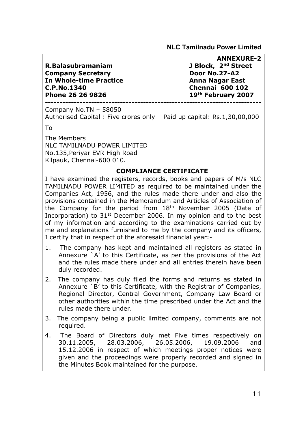**R.Balasubramaniam J Block, 2nd Street Company Secretary Company Secretary Company Boor No.27-A2 In Whole-time Practice**  Anna Nagar East **C.P.No.1340 Chennai 600 102 Phone 26 26 9826 19th February 2007** 

**ANNEXURE-2** 

**---------------------------------------------------------------------------** 

Company No.TN – 58050

Authorised Capital : Five crores only Paid up capital: Rs.1,30,00,000

To

The Members NLC TAMILNADU POWER LIMITED No.135,Periyar EVR High Road Kilpauk, Chennai-600 010.

#### **COMPLIANCE CERTIFICATE**

I have examined the registers, records, books and papers of M/s NLC TAMILNADU POWER LIMITED as required to be maintained under the Companies Act, 1956, and the rules made there under and also the provisions contained in the Memorandum and Articles of Association of the Company for the period from 18th November 2005 (Date of Incorporation) to  $31<sup>st</sup>$  December 2006. In my opinion and to the best of my information and according to the examinations carried out by me and explanations furnished to me by the company and its officers, I certify that in respect of the aforesaid financial year:-

- 1. The company has kept and maintained all registers as stated in Annexure `A' to this Certificate, as per the provisions of the Act and the rules made there under and all entries therein have been duly recorded.
- 2. The company has duly filed the forms and returns as stated in Annexure `B' to this Certificate, with the Registrar of Companies, Regional Director, Central Government, Company Law Board or other authorities within the time prescribed under the Act and the rules made there under.
- 3. The company being a public limited company, comments are not required.
- 4. The Board of Directors duly met Five times respectively on 30.11.2005, 28.03.2006, 26.05.2006, 19.09.2006 and 15.12.2006 in respect of which meetings proper notices were given and the proceedings were properly recorded and signed in the Minutes Book maintained for the purpose.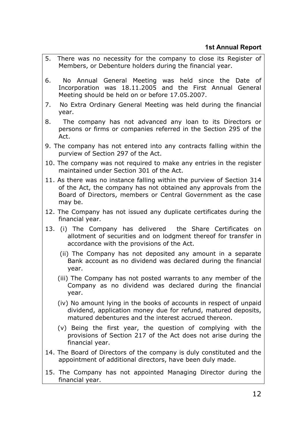- 5. There was no necessity for the company to close its Register of Members, or Debenture holders during the financial year.
- 6. No Annual General Meeting was held since the Date of Incorporation was 18.11.2005 and the First Annual General Meeting should be held on or before 17.05.2007.
- 7. No Extra Ordinary General Meeting was held during the financial year.
- 8. The company has not advanced any loan to its Directors or persons or firms or companies referred in the Section 295 of the Act.
- 9. The company has not entered into any contracts falling within the purview of Section 297 of the Act.
- 10. The company was not required to make any entries in the register maintained under Section 301 of the Act.
- 11. As there was no instance falling within the purview of Section 314 of the Act, the company has not obtained any approvals from the Board of Directors, members or Central Government as the case may be.
- 12. The Company has not issued any duplicate certificates during the financial year.
- 13. (i) The Company has delivered the Share Certificates on allotment of securities and on lodgment thereof for transfer in accordance with the provisions of the Act.
	- (ii) The Company has not deposited any amount in a separate Bank account as no dividend was declared during the financial year.
	- (iii) The Company has not posted warrants to any member of the Company as no dividend was declared during the financial year.
	- (iv) No amount lying in the books of accounts in respect of unpaid dividend, application money due for refund, matured deposits, matured debentures and the interest accrued thereon.
	- (v) Being the first year, the question of complying with the provisions of Section 217 of the Act does not arise during the financial year.
- 14. The Board of Directors of the company is duly constituted and the appointment of additional directors, have been duly made.
- 15. The Company has not appointed Managing Director during the financial year.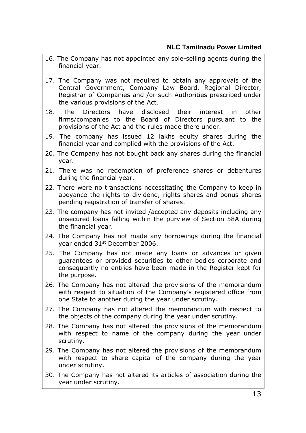- 16. The Company has not appointed any sole-selling agents during the financial year.
- 17. The Company was not required to obtain any approvals of the Central Government, Company Law Board, Regional Director, Registrar of Companies and /or such Authorities prescribed under the various provisions of the Act.
- 18. The Directors have disclosed their interest in other firms/companies to the Board of Directors pursuant to the provisions of the Act and the rules made there under.
- 19. The company has issued 12 lakhs equity shares during the financial year and complied with the provisions of the Act.
- 20. The Company has not bought back any shares during the financial year.
- 21. There was no redemption of preference shares or debentures during the financial year.
- 22. There were no transactions necessitating the Company to keep in abeyance the rights to dividend, rights shares and bonus shares pending registration of transfer of shares.
- 23. The company has not invited /accepted any deposits including any unsecured loans falling within the purview of Section 58A during the financial year.
- 24. The Company has not made any borrowings during the financial year ended 31st December 2006.
- 25. The Company has not made any loans or advances or given guarantees or provided securities to other bodies corporate and consequently no entries have been made in the Register kept for the purpose.
- 26. The Company has not altered the provisions of the memorandum with respect to situation of the Company's registered office from one State to another during the year under scrutiny.
- 27. The Company has not altered the memorandum with respect to the objects of the company during the year under scrutiny.
- 28. The Company has not altered the provisions of the memorandum with respect to name of the company during the year under scrutiny.
- 29. The Company has not altered the provisions of the memorandum with respect to share capital of the company during the year under scrutiny.
- 30. The Company has not altered its articles of association during the year under scrutiny.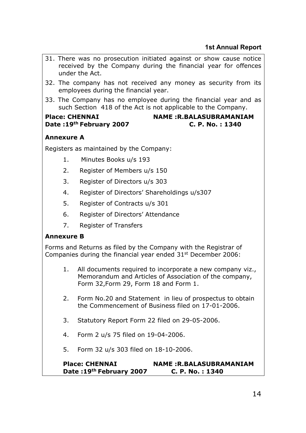- 31. There was no prosecution initiated against or show cause notice received by the Company during the financial year for offences under the Act.
- 32. The company has not received any money as security from its employees during the financial year.
- 33. The Company has no employee during the financial year and as such Section 418 of the Act is not applicable to the Company.

# Place: CHENNAI **NAME :R.BALASUBRAMANIAM Date :19th February 2007 C. P. No. : 1340**

#### **Annexure A**

Registers as maintained by the Company:

- 1. Minutes Books u/s 193
- 2. Register of Members u/s 150
- 3. Register of Directors u/s 303
- 4. Register of Directors' Shareholdings u/s307
- 5. Register of Contracts u/s 301
- 6. Register of Directors' Attendance
- 7. Register of Transfers

#### **Annexure B**

Forms and Returns as filed by the Company with the Registrar of Companies during the financial year ended 31<sup>st</sup> December 2006:

- 1. All documents required to incorporate a new company viz., Memorandum and Articles of Association of the company, Form 32,Form 29, Form 18 and Form 1.
- 2. Form No.20 and Statement in lieu of prospectus to obtain the Commencement of Business filed on 17-01-2006.
- 3. Statutory Report Form 22 filed on 29-05-2006.
- 4. Form 2 u/s 75 filed on 19-04-2006.
- 5. Form 32 u/s 303 filed on 18-10-2006.

#### **Place: CHENNAI NAME :R.BALASUBRAMANIAM Date :19th February 2007 C. P. No. : 1340**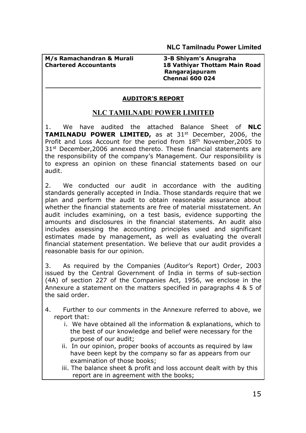**M/s Ramachandran & Murali 3-B Shiyam's Anugraha** 

# **Chartered Accountants 18 Vathiyar Thottam Main Road Rangarajapuram Chennai 600 024**

### **AUDITOR'S REPORT**

# **NLC TAMILNADU POWER LIMITED**

1. We have audited the attached Balance Sheet of **NLC TAMILNADU POWER LIMITED,** as at 31<sup>st</sup> December, 2006, the Profit and Loss Account for the period from 18th November,2005 to 31st December,2006 annexed thereto. These financial statements are the responsibility of the company's Management. Our responsibility is to express an opinion on these financial statements based on our audit.

2. We conducted our audit in accordance with the auditing standards generally accepted in India. Those standards require that we plan and perform the audit to obtain reasonable assurance about whether the financial statements are free of material misstatement. An audit includes examining, on a test basis, evidence supporting the amounts and disclosures in the financial statements. An audit also includes assessing the accounting principles used and significant estimates made by management, as well as evaluating the overall financial statement presentation. We believe that our audit provides a reasonable basis for our opinion.

3. As required by the Companies (Auditor's Report) Order, 2003 issued by the Central Government of India in terms of sub-section (4A) of section 227 of the Companies Act, 1956, we enclose in the Annexure a statement on the matters specified in paragraphs 4 & 5 of the said order.

- 4. Further to our comments in the Annexure referred to above, we report that:
	- i. We have obtained all the information & explanations, which to the best of our knowledge and belief were necessary for the purpose of our audit;
	- ii. In our opinion, proper books of accounts as required by law have been kept by the company so far as appears from our examination of those books;
	- iii. The balance sheet & profit and loss account dealt with by this report are in agreement with the books;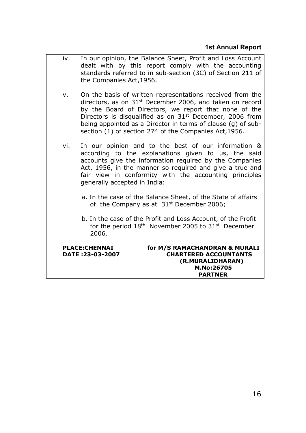- iv. In our opinion, the Balance Sheet, Profit and Loss Account dealt with by this report comply with the accounting standards referred to in sub-section (3C) of Section 211 of the Companies Act,1956.
- v. On the basis of written representations received from the directors, as on 31st December 2006, and taken on record by the Board of Directors, we report that none of the Directors is disqualified as on  $31<sup>st</sup>$  December, 2006 from being appointed as a Director in terms of clause (g) of subsection (1) of section 274 of the Companies Act,1956.
- vi. In our opinion and to the best of our information & according to the explanations given to us, the said accounts give the information required by the Companies Act, 1956, in the manner so required and give a true and fair view in conformity with the accounting principles generally accepted in India:
	- a. In the case of the Balance Sheet, of the State of affairs of the Company as at  $31<sup>st</sup>$  December 2006;
	- b. In the case of the Profit and Loss Account, of the Profit for the period  $18<sup>th</sup>$  November 2005 to  $31<sup>st</sup>$  December 2006.

**PLACE:CHENNAI for M/S RAMACHANDRAN & MURALI DATE :23-03-2007 CHARTERED ACCOUNTANTS (R.MURALIDHARAN) M.No:26705 PARTNER**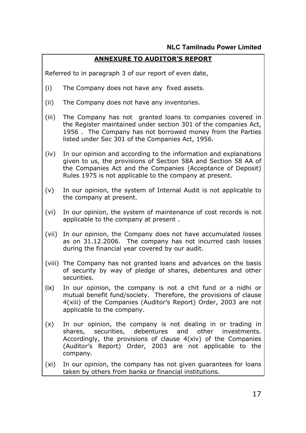### **ANNEXURE TO AUDITOR'S REPORT**

Referred to in paragraph 3 of our report of even date,

- (i) The Company does not have any fixed assets.
- (ii) The Company does not have any inventories.
- (iii) The Company has not granted loans to companies covered in the Register maintained under section 301 of the companies Act, 1956 . The Company has not borrowed money from the Parties listed under Sec 301 of the Companies Act, 1956.
- (iv) In our opinion and according to the information and explanations given to us, the provisions of Section 58A and Section 58 AA of the Companies Act and the Companies (Acceptance of Deposit) Rules 1975 is not applicable to the company at present.
- (v) In our opinion, the system of Internal Audit is not applicable to the company at present.
- (vi) In our opinion, the system of maintenance of cost records is not applicable to the company at present .
- (vii) In our opinion, the Company does not have accumulated losses as on 31.12.2006. The company has not incurred cash losses during the financial year covered by our audit.
- (viii) The Company has not granted loans and advances on the basis of security by way of pledge of shares, debentures and other securities.
- (ix) In our opinion, the company is not a chit fund or a nidhi or mutual benefit fund/society. Therefore, the provisions of clause 4(xiii) of the Companies (Auditor's Report) Order, 2003 are not applicable to the company.
- (x) In our opinion, the company is not dealing in or trading in shares, securities, debentures and other investments. Accordingly, the provisions of clause 4(xiv) of the Companies (Auditor's Report) Order, 2003 are not applicable to the company.
- (xi) In our opinion, the company has not given guarantees for loans taken by others from banks or financial institutions.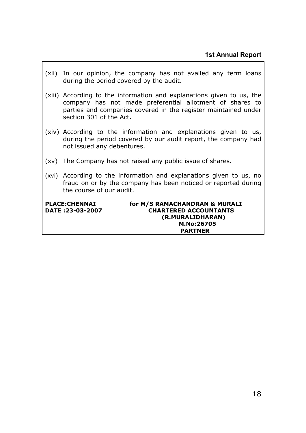(xii) In our opinion, the company has not availed any term loans during the period covered by the audit. (xiii) According to the information and explanations given to us, the company has not made preferential allotment of shares to parties and companies covered in the register maintained under section 301 of the Act. (xiv) According to the information and explanations given to us, during the period covered by our audit report, the company had not issued any debentures. (xv) The Company has not raised any public issue of shares. (xvi) According to the information and explanations given to us, no fraud on or by the company has been noticed or reported during the course of our audit. **PLACE:CHENNAI for M/S RAMACHANDRAN & MURALI DATE :23-03-2007 CHARTERED ACCOUNTANTS (R.MURALIDHARAN) M.No:26705** 

 **PARTNER**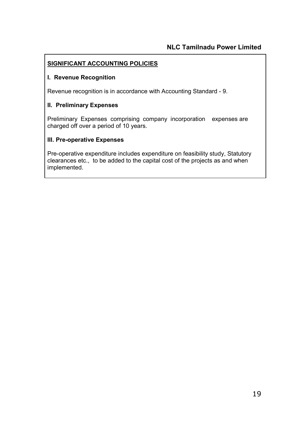#### **SIGNIFICANT ACCOUNTING POLICIES**

#### **I. Revenue Recognition**

Revenue recognition is in accordance with Accounting Standard - 9.

#### **II. Preliminary Expenses**

Preliminary Expenses comprising company incorporation expenses are charged off over a period of 10 years.

#### **III. Pre-operative Expenses**

Pre-operative expenditure includes expenditure on feasibility study, Statutory clearances etc., to be added to the capital cost of the projects as and when implemented.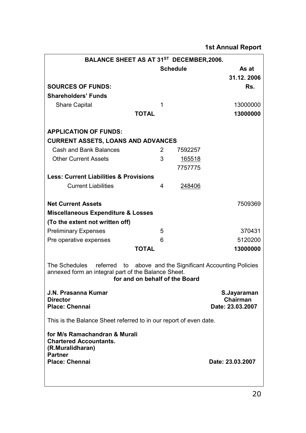| BALANCE SHEET AS AT 31 <sup>ST</sup> DECEMBER, 2006.                                                                                                                   |              |                 |         |                  |            |
|------------------------------------------------------------------------------------------------------------------------------------------------------------------------|--------------|-----------------|---------|------------------|------------|
|                                                                                                                                                                        |              | <b>Schedule</b> |         |                  | As at      |
|                                                                                                                                                                        |              |                 |         |                  | 31.12.2006 |
| <b>SOURCES OF FUNDS:</b>                                                                                                                                               |              |                 |         |                  | Rs.        |
| <b>Shareholders' Funds</b>                                                                                                                                             |              |                 |         |                  |            |
| <b>Share Capital</b>                                                                                                                                                   | 1            |                 |         |                  | 13000000   |
|                                                                                                                                                                        | <b>TOTAL</b> |                 |         |                  | 13000000   |
| <b>APPLICATION OF FUNDS:</b>                                                                                                                                           |              |                 |         |                  |            |
| <b>CURRENT ASSETS, LOANS AND ADVANCES</b>                                                                                                                              |              |                 |         |                  |            |
| <b>Cash and Bank Balances</b>                                                                                                                                          |              | $\overline{2}$  | 7592257 |                  |            |
| <b>Other Current Assets</b>                                                                                                                                            |              | 3               | 165518  |                  |            |
|                                                                                                                                                                        |              |                 | 7757775 |                  |            |
| <b>Less: Current Liabilities &amp; Provisions</b>                                                                                                                      |              |                 |         |                  |            |
| <b>Current Liabilities</b>                                                                                                                                             | 4            |                 | 248406  |                  |            |
|                                                                                                                                                                        |              |                 |         |                  |            |
| <b>Net Current Assets</b>                                                                                                                                              |              |                 |         |                  | 7509369    |
| <b>Miscellaneous Expenditure &amp; Losses</b>                                                                                                                          |              |                 |         |                  |            |
| (To the extent not written off)                                                                                                                                        |              |                 |         |                  |            |
| <b>Preliminary Expenses</b>                                                                                                                                            | 5            |                 |         |                  | 370431     |
| Pre operative expenses                                                                                                                                                 | 6            |                 |         |                  | 5120200    |
|                                                                                                                                                                        | <b>TOTAL</b> |                 |         |                  | 13000000   |
| The Schedules referred<br>above and the Significant Accounting Policies<br>to<br>annexed form an integral part of the Balance Sheet.<br>for and on behalf of the Board |              |                 |         |                  |            |
| <b>J.N. Prasanna Kumar</b>                                                                                                                                             |              |                 |         | S.Jayaraman      |            |
| <b>Director</b>                                                                                                                                                        |              |                 |         | Chairman         |            |
| <b>Place: Chennai</b>                                                                                                                                                  |              |                 |         | Date: 23.03.2007 |            |
| This is the Balance Sheet referred to in our report of even date.                                                                                                      |              |                 |         |                  |            |
| for M/s Ramachandran & Murali<br><b>Chartered Accountants.</b><br>(R.Muralidharan)<br><b>Partner</b>                                                                   |              |                 |         |                  |            |
| <b>Place: Chennai</b>                                                                                                                                                  |              |                 |         | Date: 23.03.2007 |            |
|                                                                                                                                                                        |              |                 |         |                  |            |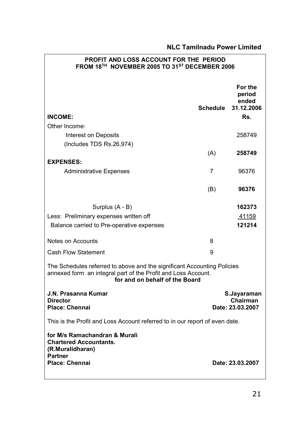| PROFIT AND LOSS ACCOUNT FOR THE PERIOD<br>FROM 18 <sup>TH</sup> NOVEMBER 2005 TO 31 <sup>ST</sup> DECEMBER 2006                                                            |                                             |                                                 |
|----------------------------------------------------------------------------------------------------------------------------------------------------------------------------|---------------------------------------------|-------------------------------------------------|
| <b>INCOME:</b><br>Other Income:                                                                                                                                            | <b>Schedule</b>                             | For the<br>period<br>ended<br>31.12.2006<br>Rs. |
| Interest on Deposits                                                                                                                                                       |                                             | 258749                                          |
| (Includes TDS Rs.26,974)                                                                                                                                                   |                                             |                                                 |
|                                                                                                                                                                            | (A)                                         | 258749                                          |
| <b>EXPENSES:</b>                                                                                                                                                           |                                             |                                                 |
| <b>Administrative Expenses</b>                                                                                                                                             | 7                                           | 96376                                           |
|                                                                                                                                                                            | (B)                                         | 96376                                           |
| Surplus (A - B)                                                                                                                                                            |                                             | 162373                                          |
| Less: Preliminary expenses written off                                                                                                                                     |                                             | 41159                                           |
| Balance carried to Pre-operative expenses                                                                                                                                  |                                             | 121214                                          |
| Notes on Accounts                                                                                                                                                          | 8                                           |                                                 |
| <b>Cash Flow Statement</b>                                                                                                                                                 | 9                                           |                                                 |
| The Schedules referred to above and the significant Accounting Policies<br>annexed form an integral part of the Profit and Loss Account.<br>for and on behalf of the Board |                                             |                                                 |
| J.N. Prasanna Kumar<br><b>Director</b><br><b>Place: Chennai</b>                                                                                                            | S.Jayaraman<br>Chairman<br>Date: 23.03.2007 |                                                 |
| This is the Profit and Loss Account referred to in our report of even date.                                                                                                |                                             |                                                 |
| for M/s Ramachandran & Murali<br><b>Chartered Accountants.</b><br>(R.Muralidharan)                                                                                         |                                             |                                                 |
| <b>Partner</b><br><b>Place: Chennai</b>                                                                                                                                    |                                             | Date: 23.03.2007                                |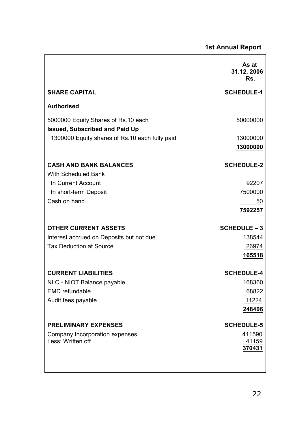|                                                                              | As at<br>31.12.2006<br>Rs. |
|------------------------------------------------------------------------------|----------------------------|
| <b>SHARE CAPITAL</b>                                                         | <b>SCHEDULE-1</b>          |
| <b>Authorised</b>                                                            |                            |
| 5000000 Equity Shares of Rs.10 each<br><b>Issued, Subscribed and Paid Up</b> | 50000000                   |
| 1300000 Equity shares of Rs.10 each fully paid                               | 13000000<br>13000000       |
|                                                                              |                            |
| <b>CASH AND BANK BALANCES</b>                                                | <b>SCHEDULE-2</b>          |
| <b>With Scheduled Bank</b><br>In Current Account                             | 92207                      |
| In short-term Deposit                                                        | 7500000                    |
| Cash on hand                                                                 | 50                         |
|                                                                              | 7592257                    |
| <b>OTHER CURRENT ASSETS</b>                                                  | <b>SCHEDULE - 3</b>        |
| Interest accrued on Deposits but not due                                     | 138544                     |
| <b>Tax Deduction at Source</b>                                               | 26974                      |
|                                                                              | 165518                     |
| <b>CURRENT LIABILITIES</b>                                                   | <b>SCHEDULE-4</b>          |
| NLC - NIOT Balance payable                                                   | 168360                     |
| <b>EMD</b> refundable                                                        | 68822                      |
| Audit fees payable                                                           | 11224<br>248406            |
|                                                                              |                            |
| <b>PRELIMINARY EXPENSES</b>                                                  | <b>SCHEDULE-5</b>          |
| Company Incorporation expenses<br>Less: Written off                          | 411590<br><u>41159</u>     |
|                                                                              | 370431                     |
|                                                                              |                            |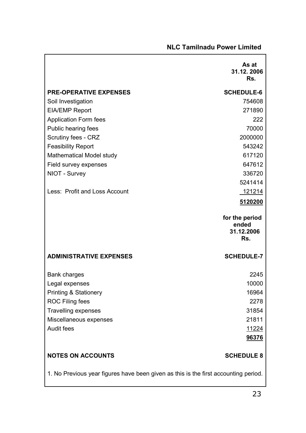|                                                                                     | As at<br>31.12.2006<br>Rs.                   |
|-------------------------------------------------------------------------------------|----------------------------------------------|
| <b>PRE-OPERATIVE EXPENSES</b>                                                       | <b>SCHEDULE-6</b>                            |
| Soil Investigation                                                                  | 754608                                       |
| <b>EIA/EMP Report</b>                                                               | 271890                                       |
| <b>Application Form fees</b>                                                        | 222                                          |
| Public hearing fees                                                                 | 70000                                        |
| Scrutiny fees - CRZ                                                                 | 2000000                                      |
| <b>Feasibility Report</b>                                                           | 543242                                       |
| Mathematical Model study                                                            | 617120                                       |
| Field survey expenses                                                               | 647612                                       |
| NIOT - Survey                                                                       | 336720                                       |
|                                                                                     | 5241414                                      |
| Less: Profit and Loss Account                                                       | 121214                                       |
|                                                                                     | 5120200                                      |
|                                                                                     | for the period<br>ended<br>31.12.2006<br>Rs. |
| <b>ADMINISTRATIVE EXPENSES</b>                                                      | <b>SCHEDULE-7</b>                            |
| <b>Bank charges</b>                                                                 | 2245                                         |
| Legal expenses                                                                      | 10000                                        |
| <b>Printing &amp; Stationery</b>                                                    | 16964                                        |
| <b>ROC Filing fees</b>                                                              | 2278                                         |
| <b>Travelling expenses</b>                                                          | 31854                                        |
| Miscellaneous expenses                                                              | 21811                                        |
| <b>Audit fees</b>                                                                   | 11224                                        |
|                                                                                     | 96376                                        |
| <b>NOTES ON ACCOUNTS</b>                                                            | <b>SCHEDULE 8</b>                            |
| 1. No Previous year figures have been given as this is the first accounting period. |                                              |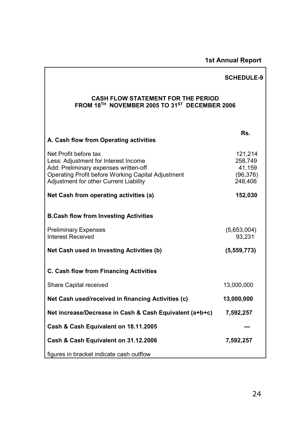# **1st Annual Report**

|                                                                                                                                                                                                               | <b>SCHEDULE-9</b>                                    |
|---------------------------------------------------------------------------------------------------------------------------------------------------------------------------------------------------------------|------------------------------------------------------|
| <b>CASH FLOW STATEMENT FOR THE PERIOD</b><br>FROM 18 <sup>TH</sup> NOVEMBER 2005 TO 31 <sup>ST</sup> DECEMBER 2006                                                                                            |                                                      |
| A. Cash flow from Operating activities                                                                                                                                                                        | Rs.                                                  |
| Net Profit before tax<br>Less: Adjustment for Interest Income<br>Add: Preliminary expenses written-off<br><b>Operating Profit before Working Capital Adjustment</b><br>Adjustment for other Current Liability | 121,214<br>258,749<br>41,159<br>(96, 376)<br>248,406 |
| Net Cash from operating activities (a)                                                                                                                                                                        | 152,030                                              |
| <b>B.Cash flow from Investing Activities</b>                                                                                                                                                                  |                                                      |
| <b>Preliminary Expenses</b><br><b>Interest Received</b>                                                                                                                                                       | (5,653,004)<br>93,231                                |
| Net Cash used in Investing Activities (b)                                                                                                                                                                     | (5,559,773)                                          |
| <b>C. Cash flow from Financing Activities</b>                                                                                                                                                                 |                                                      |
| Share Capital received                                                                                                                                                                                        | 13,000,000                                           |
| Net Cash used/received in financing Activities (c)                                                                                                                                                            | 13,000,000                                           |
| Net increase/Decrease in Cash & Cash Equivalent (a+b+c)                                                                                                                                                       | 7,592,257                                            |
| Cash & Cash Equivalent on 18.11.2005                                                                                                                                                                          |                                                      |
| Cash & Cash Equivalent on 31.12.2006                                                                                                                                                                          | 7,592,257                                            |
| figures in bracket indicate cash outflow                                                                                                                                                                      |                                                      |

Ī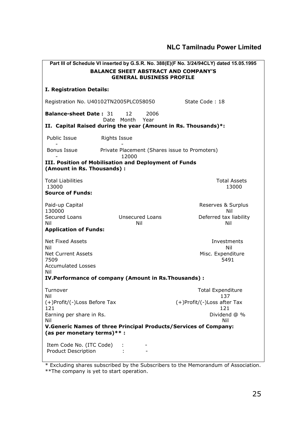|                                                                                                                                                            |                                               | Part III of Schedule VI inserted by G.S.R. No. 388(E)(F No. 3/24/94CLY) dated 15.05.1995     |  |
|------------------------------------------------------------------------------------------------------------------------------------------------------------|-----------------------------------------------|----------------------------------------------------------------------------------------------|--|
| <b>BALANCE SHEET ABSTRACT AND COMPANY'S</b><br><b>GENERAL BUSINESS PROFILE</b>                                                                             |                                               |                                                                                              |  |
| I. Registration Details:                                                                                                                                   |                                               |                                                                                              |  |
| Registration No. U40102TN2005PLC058050                                                                                                                     |                                               | State Code: 18                                                                               |  |
| <b>Balance-sheet Date: 31</b>                                                                                                                              | 12<br>2006<br>Date Month Year                 |                                                                                              |  |
| II. Capital Raised during the year (Amount in Rs. Thousands)*:                                                                                             |                                               |                                                                                              |  |
| Public Issue                                                                                                                                               | <b>Rights Issue</b>                           |                                                                                              |  |
| Bonus Issue                                                                                                                                                | Private Placement (Shares issue to Promoters) |                                                                                              |  |
| III. Position of Mobilisation and Deployment of Funds<br>(Amount in Rs. Thousands) :                                                                       | 12000                                         |                                                                                              |  |
| <b>Total Liabilities</b><br>13000<br><b>Source of Funds:</b>                                                                                               |                                               | <b>Total Assets</b><br>13000                                                                 |  |
| Paid-up Capital<br>130000<br>Secured Loans<br>Nil<br><b>Application of Funds:</b>                                                                          | <b>Unsecured Loans</b><br>Nil                 | Reserves & Surplus<br>Nil<br>Deferred tax liability<br>Nil                                   |  |
| Net Fixed Assets<br>Nil<br><b>Net Current Assets</b><br>7509<br><b>Accumulated Losses</b><br>Nil<br>IV. Performance of company (Amount in Rs. Thousands) : |                                               | Investments<br>Nil<br>Misc. Expenditure<br>5491                                              |  |
| Turnover<br>Nil<br>(+)Profit/(-)Loss Before Tax<br>121<br>Earning per share in Rs.<br>Nil                                                                  |                                               | <b>Total Expenditure</b><br>137<br>(+)Profit/(-)Loss after Tax<br>121<br>Dividend @ %<br>Nil |  |
| V.Generic Names of three Principal Products/Services of Company:<br>(as per monetary terms) $**$ :                                                         |                                               |                                                                                              |  |
| Item Code No. (ITC Code)<br><b>Product Description</b>                                                                                                     |                                               |                                                                                              |  |

\* Excluding shares subscribed by the Subscribers to the Memorandum of Association. \*\*The company is yet to start operation.